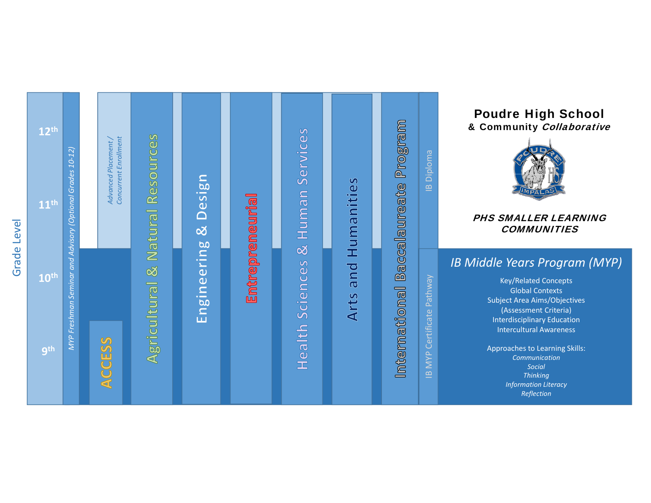



#### Poudre High School & Community Collaborative



#### PHS SMALLER LEARNING **COMMUNITIES**

### *IB Middle Years Program (MYP)*

Key/Related Concepts Global Contexts Subject Area Aims/Objectives (Assessment Criteria) Interdisciplinary Education Intercultural Awareness

Approaches to Learning Skills: *Communication SocialThinking Information Literacy Reflection*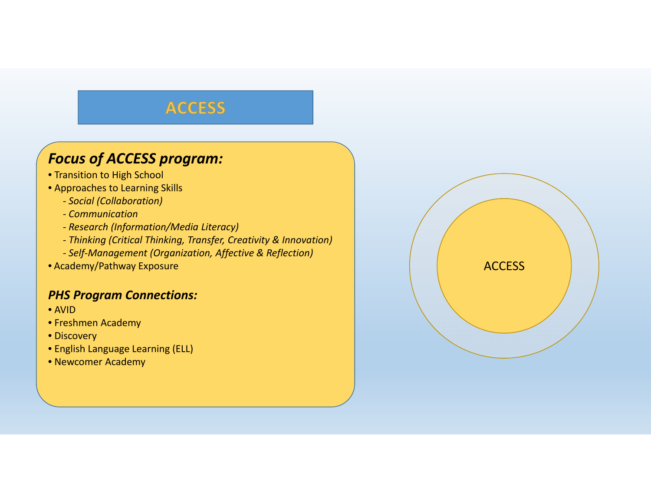### **ACCESS**

## *Focus of ACCESS program:*

- Transition to High School
- Approaches to Learning Skills
	- *‐ Social (Collaboration)*
	- *‐ Communication*
	- *‐ Research (Information/Media Literacy)*
	- *‐ Thinking (Critical Thinking, Transfer, Creativity & Innovation)*
	- *‐ Self‐Management (Organization, Affective & Reflection)*
- Academy/Pathway Exposure

### *PHS Program Connections:*

- AVID
- Freshmen Academy
- Discovery
- English Language Learning (ELL)
- Newcomer Academy

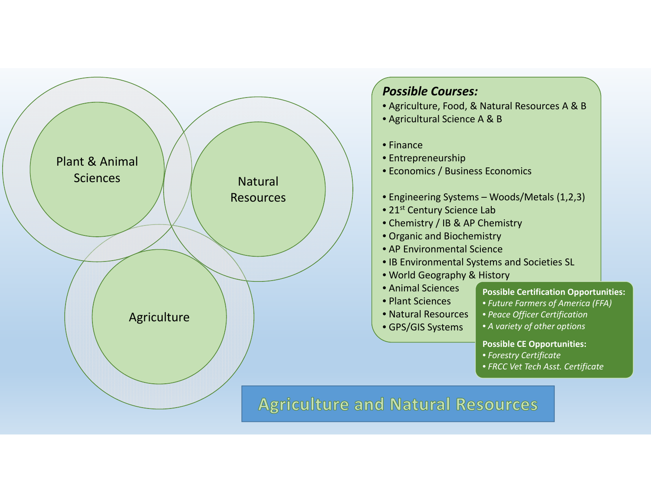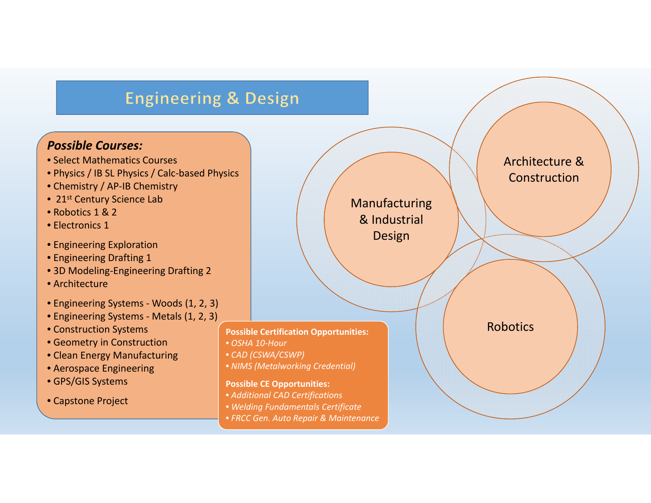# **Engineering & Design**

#### *Possible Courses:*

- Select Mathematics Courses
- Physics / IB SL Physics / Calc‐based Physics
- Chemistry / AP‐IB Chemistry
- 21<sup>st</sup> Century Science Lab
- Robotics 1 & 2
- Electronics 1
- Engineering Exploration
- Engineering Drafting 1
- 3D Modeling‐Engineering Drafting 2
- Architecture
- Engineering Systems ‐ Woods (1, 2, 3)
- Engineering Systems ‐ Metals (1, 2, 3)
- Construction Systems
- Geometry in Construction
- Clean Energy Manufacturing
- Aerospace Engineering
- GPS/GIS Systems
- Capstone Project

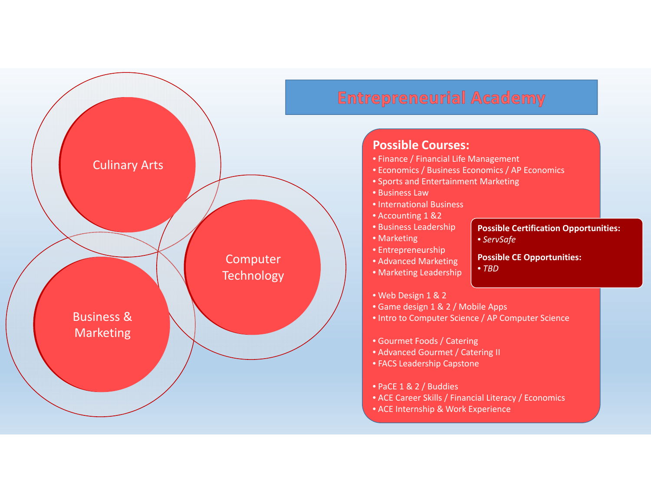

# **Entrepreneurial Academy**

#### **Possible Courses:**

- Finance / Financial Life Management
- Economics / Business Economics / AP Economics
- Sports and Entertainment Marketing
- Business Law
- International Business
- Accounting 1 &2
- Business Leadership
- Marketing
- Entrepreneurship
- Advanced Marketing
- Marketing Leadership

#### **Possible Certification Opportunities:**

• *ServSafe*

#### **Possible CE Opportunities:** • *TBD*

- Web Design 1 & 2
- Game design 1 & 2 / Mobile Apps
- Intro to Computer Science / AP Computer Science
- Gourmet Foods / Catering
- Advanced Gourmet / Catering II
- FACS Leadership Capstone
- PaCE 1&2 / Buddies
- ACE Career Skills / Financial Literacy / Economics
- ACE Internship & Work Experience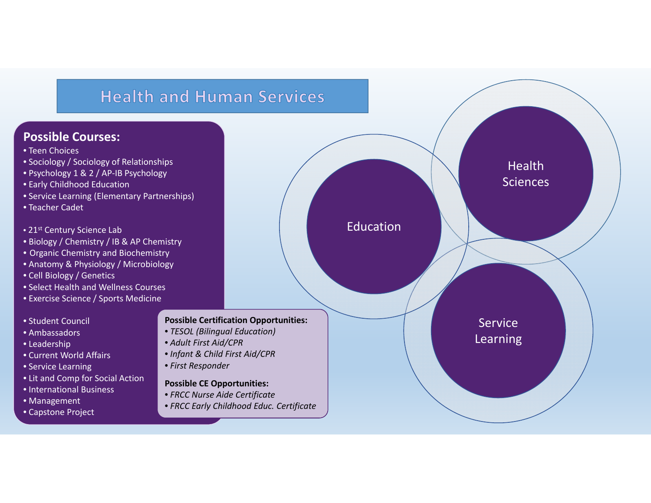# **Health and Human Services**

#### **Possible Courses:**

- Teen Choices
- Sociology / Sociology of Relationships
- Psychology 1 & 2 / AP‐IB Psychology
- Early Childhood Education
- Service Learning (Elementary Partnerships)
- Teacher Cadet
- 21<sup>st</sup> Century Science Lab
- Biology / Chemistry / IB & AP Chemistry
- Organic Chemistry and Biochemistry
- Anatomy & Physiology / Microbiology
- Cell Biology / Genetics
- Select Health and Wellness Courses
- Exercise Science / Sports Medicine

#### • Student Council

- Ambassadors
- Leadership
- Current World Affairs
- Service Learning
- Lit and Comp for Social Action
- International Business
- Management
- Capstone Project

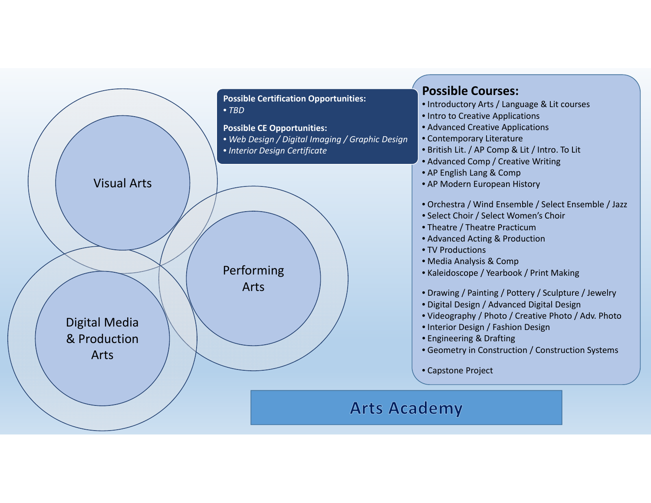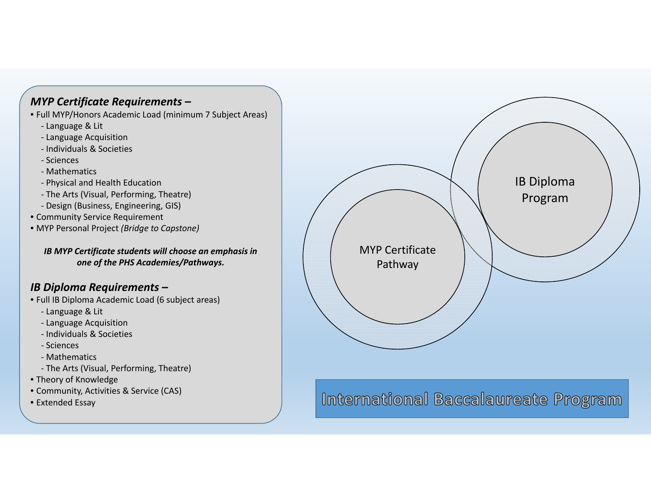#### *MYP Certificate Requirements –*

- Full MYP/Honors Academic Load (minimum 7 Subject Areas)
	- ‐ Language & Lit
	- ‐ Language Acquisition
	- ‐ Individuals & Societies
	- ‐ Sciences
	- ‐ Mathematics
	- ‐ Physical and Health Education
	- ‐ The Arts (Visual, Performing, Theatre)
	- ‐ Design (Business, Engineering, GIS)
- Community Service Requirement
- MYP Personal Project *(Bridge to Capstone)*

*IB MYP Certificate students will choose an emphasis in one of the PHS Academies/Pathways.*

### *IB Diploma Requirements –*

- Full IB Diploma Academic Load (6 subject areas)
	- ‐ Language & Lit
	- ‐ Language Acquisition
	- ‐ Individuals & Societies
	- ‐ Sciences
	- ‐ Mathematics
	- ‐ The Arts (Visual, Performing, Theatre)
- Theory of Knowledge
- Community, Activities & Service (CAS)
- Extended Essay



International Baccalaureate Program